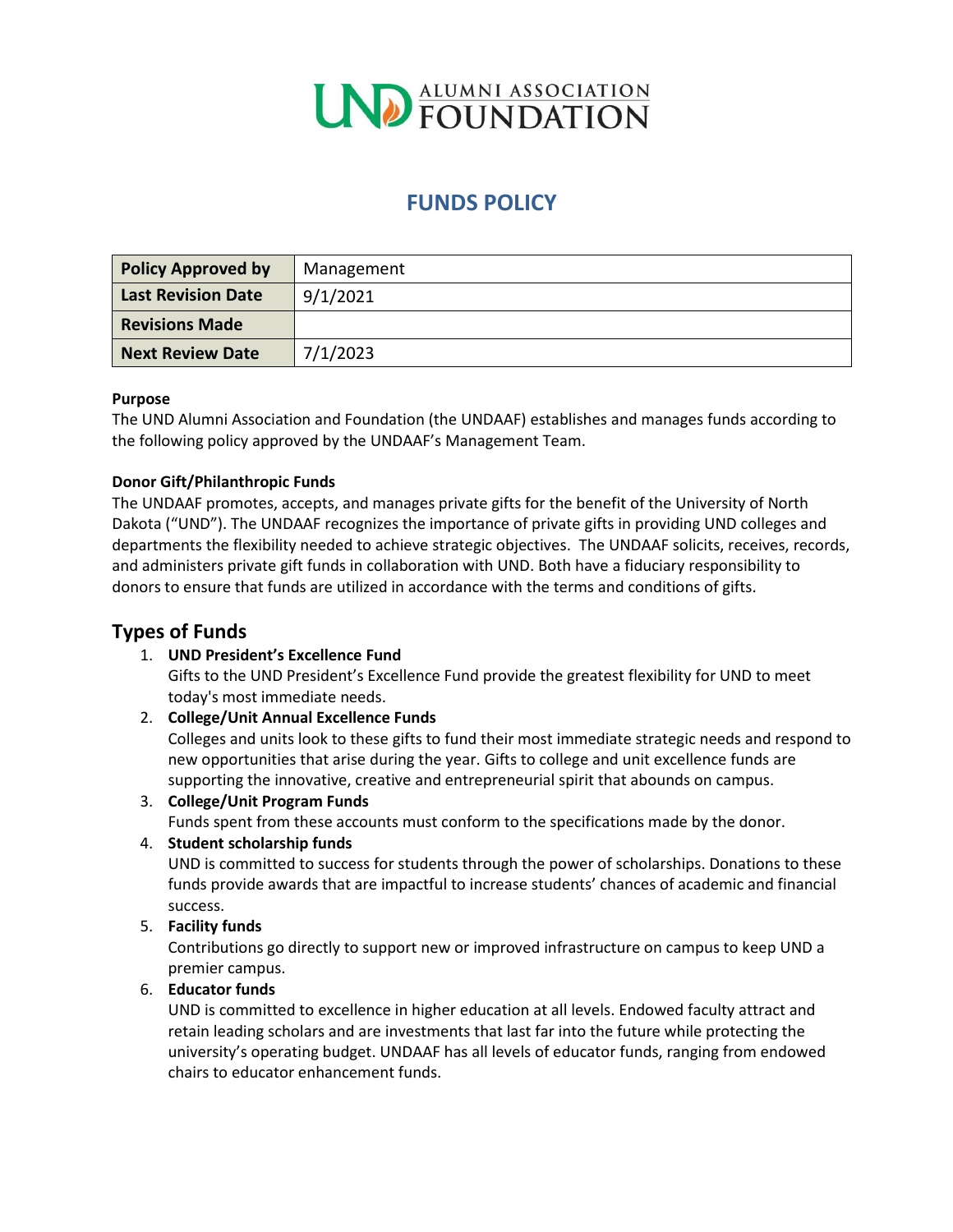

# **FUNDS POLICY**

| <b>Policy Approved by</b> | Management |
|---------------------------|------------|
| <b>Last Revision Date</b> | 9/1/2021   |
| <b>Revisions Made</b>     |            |
| <b>Next Review Date</b>   | 7/1/2023   |

#### **Purpose**

The UND Alumni Association and Foundation (the UNDAAF) establishes and manages funds according to the following policy approved by the UNDAAF's Management Team.

#### **Donor Gift/Philanthropic Funds**

The UNDAAF promotes, accepts, and manages private gifts for the benefit of the University of North Dakota ("UND"). The UNDAAF recognizes the importance of private gifts in providing UND colleges and departments the flexibility needed to achieve strategic objectives. The UNDAAF solicits, receives, records, and administers private gift funds in collaboration with UND. Both have a fiduciary responsibility to donors to ensure that funds are utilized in accordance with the terms and conditions of gifts.

# **Types of Funds**

# 1. **UND President's Excellence Fund**

Gifts to the UND President's Excellence Fund provide the greatest flexibility for UND to meet today's most immediate needs.

#### 2. **College/Unit Annual Excellence Funds**

Colleges and units look to these gifts to fund their most immediate strategic needs and respond to new opportunities that arise during the year. Gifts to college and unit excellence funds are supporting the innovative, creative and entrepreneurial spirit that abounds on campus.

#### 3. **College/Unit Program Funds**

Funds spent from these accounts must conform to the specifications made by the donor.

#### 4. **Student scholarship funds**

UND is committed to success for students through the power of scholarships. Donations to these funds provide awards that are impactful to increase students' chances of academic and financial success.

# 5. **Facility funds**

Contributions go directly to support new or improved infrastructure on campus to keep UND a premier campus.

#### 6. **Educator funds**

UND is committed to excellence in higher education at all levels. Endowed faculty attract and retain leading scholars and are investments that last far into the future while protecting the university's operating budget. UNDAAF has all levels of educator funds, ranging from endowed chairs to educator enhancement funds.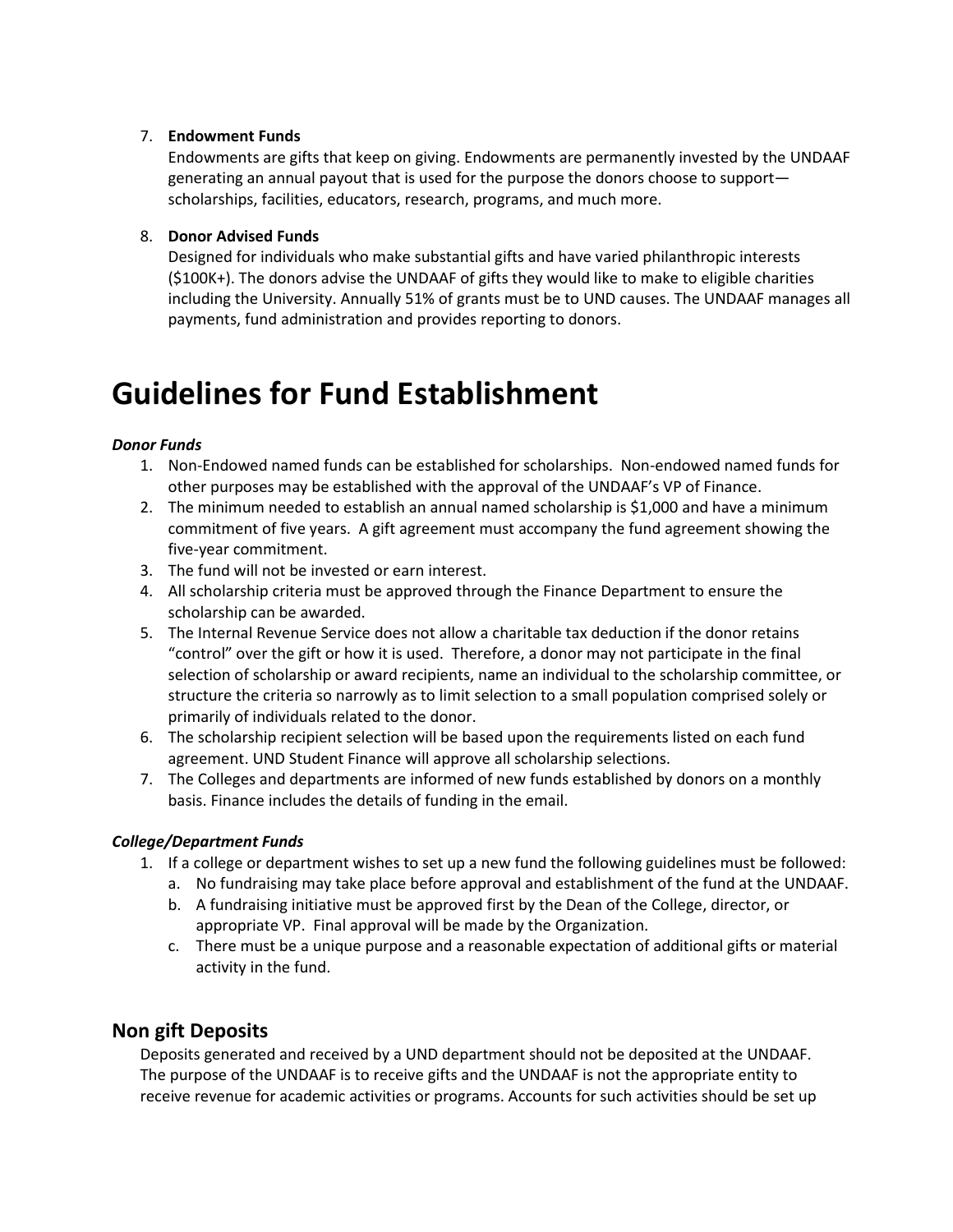#### 7. **Endowment Funds**

Endowments are gifts that keep on giving. Endowments are permanently invested by the UNDAAF generating an annual payout that is used for the purpose the donors choose to support scholarships, facilities, educators, research, programs, and much more.

#### 8. **Donor Advised Funds**

Designed for individuals who make substantial gifts and have varied philanthropic interests (\$100K+). The donors advise the UNDAAF of gifts they would like to make to eligible charities including the University. Annually 51% of grants must be to UND causes. The UNDAAF manages all payments, fund administration and provides reporting to donors.

# **Guidelines for Fund Establishment**

#### *Donor Funds*

- 1. Non-Endowed named funds can be established for scholarships. Non-endowed named funds for other purposes may be established with the approval of the UNDAAF's VP of Finance.
- 2. The minimum needed to establish an annual named scholarship is \$1,000 and have a minimum commitment of five years. A gift agreement must accompany the fund agreement showing the five-year commitment.
- 3. The fund will not be invested or earn interest.
- 4. All scholarship criteria must be approved through the Finance Department to ensure the scholarship can be awarded.
- 5. The Internal Revenue Service does not allow a charitable tax deduction if the donor retains "control" over the gift or how it is used. Therefore, a donor may not participate in the final selection of scholarship or award recipients, name an individual to the scholarship committee, or structure the criteria so narrowly as to limit selection to a small population comprised solely or primarily of individuals related to the donor.
- 6. The scholarship recipient selection will be based upon the requirements listed on each fund agreement. UND Student Finance will approve all scholarship selections.
- 7. The Colleges and departments are informed of new funds established by donors on a monthly basis. Finance includes the details of funding in the email.

# *College/Department Funds*

- 1. If a college or department wishes to set up a new fund the following guidelines must be followed:
	- a. No fundraising may take place before approval and establishment of the fund at the UNDAAF.
	- b. A fundraising initiative must be approved first by the Dean of the College, director, or appropriate VP. Final approval will be made by the Organization.
	- c. There must be a unique purpose and a reasonable expectation of additional gifts or material activity in the fund.

# **Non gift Deposits**

Deposits generated and received by a UND department should not be deposited at the UNDAAF. The purpose of the UNDAAF is to receive gifts and the UNDAAF is not the appropriate entity to receive revenue for academic activities or programs. Accounts for such activities should be set up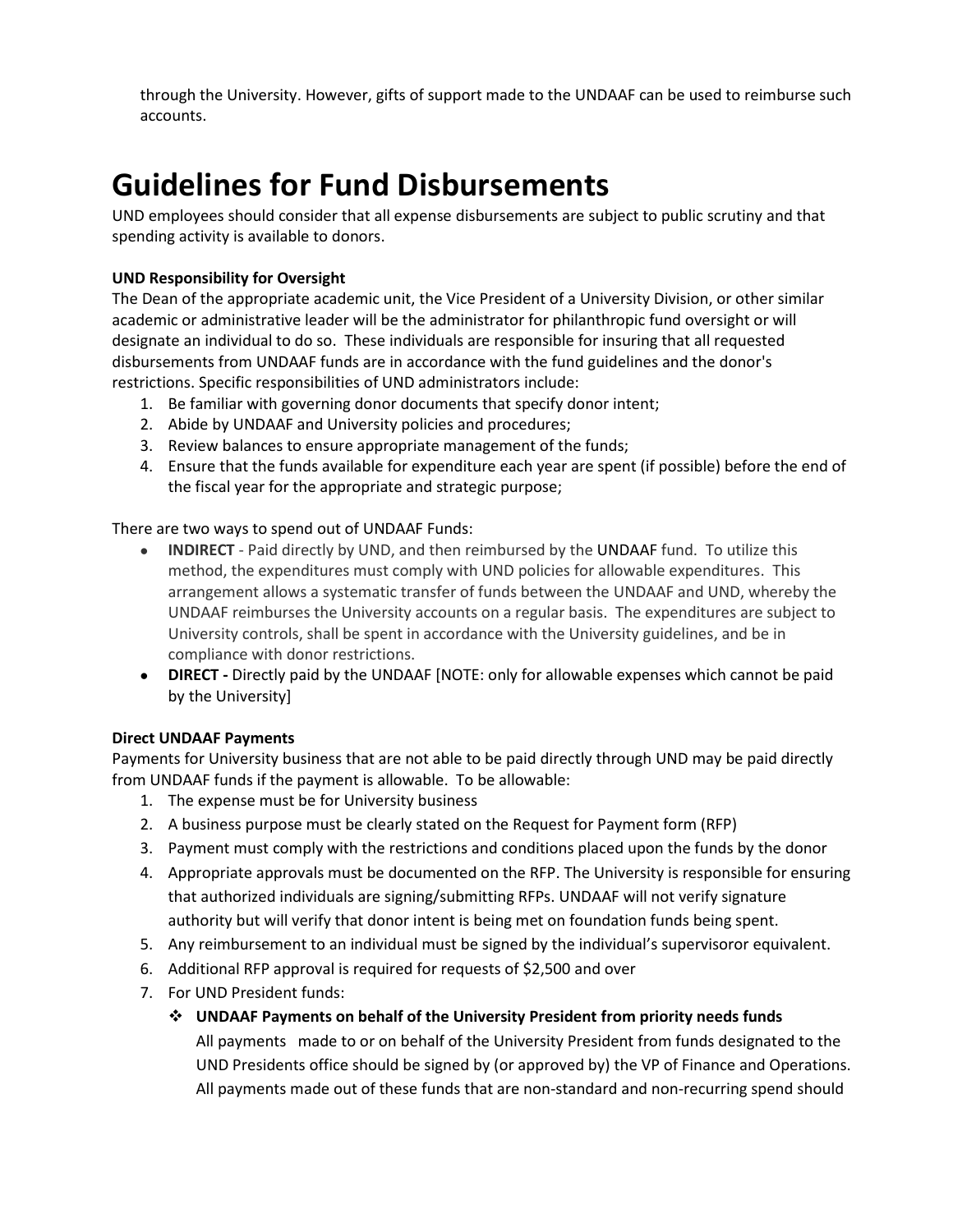through the University. However, gifts of support made to the UNDAAF can be used to reimburse such accounts.

# **Guidelines for Fund Disbursements**

UND employees should consider that all expense disbursements are subject to public scrutiny and that spending activity is available to donors.

# **UND Responsibility for Oversight**

The Dean of the appropriate academic unit, the Vice President of a University Division, or other similar academic or administrative leader will be the administrator for philanthropic fund oversight or will designate an individual to do so. These individuals are responsible for insuring that all requested disbursements from UNDAAF funds are in accordance with the fund guidelines and the donor's restrictions. Specific responsibilities of UND administrators include:

- 1. Be familiar with governing donor documents that specify donor intent;
- 2. Abide by UNDAAF and University policies and procedures;
- 3. Review balances to ensure appropriate management of the funds;
- 4. Ensure that the funds available for expenditure each year are spent (if possible) before the end of the fiscal year for the appropriate and strategic purpose;

# There are two ways to spend out of UNDAAF Funds:

- **INDIRECT** Paid directly by UND, and then reimbursed by the UNDAAF fund. To utilize this method, the expenditures must comply with UND policies for allowable expenditures. This arrangement allows a systematic transfer of funds between the UNDAAF and UND, whereby the UNDAAF reimburses the University accounts on a regular basis. The expenditures are subject to University controls, shall be spent in accordance with the University guidelines, and be in compliance with donor restrictions.
- **DIRECT -** Directly paid by the UNDAAF [NOTE: only for allowable expenses which cannot be paid by the University]

# **Direct UNDAAF Payments**

Payments for University business that are not able to be paid directly through UND may be paid directly from UNDAAF funds if the payment is allowable. To be allowable:

- 1. The expense must be for University business
- 2. A business purpose must be clearly stated on the Request for Payment form (RFP)
- 3. Payment must comply with the restrictions and conditions placed upon the funds by the donor
- 4. Appropriate approvals must be documented on the RFP. The University is responsible for ensuring that authorized individuals are signing/submitting RFPs. UNDAAF will not verify signature authority but will verify that donor intent is being met on foundation funds being spent.
- 5. Any reimbursement to an individual must be signed by the individual's supervisoror equivalent.
- 6. Additional RFP approval is required for requests of \$2,500 and over
- 7. For UND President funds:
	- ❖ **UNDAAF Payments on behalf of the University President from priority needs funds** All payments made to or on behalf of the University President from funds designated to the UND Presidents office should be signed by (or approved by) the VP of Finance and Operations. All payments made out of these funds that are non-standard and non-recurring spend should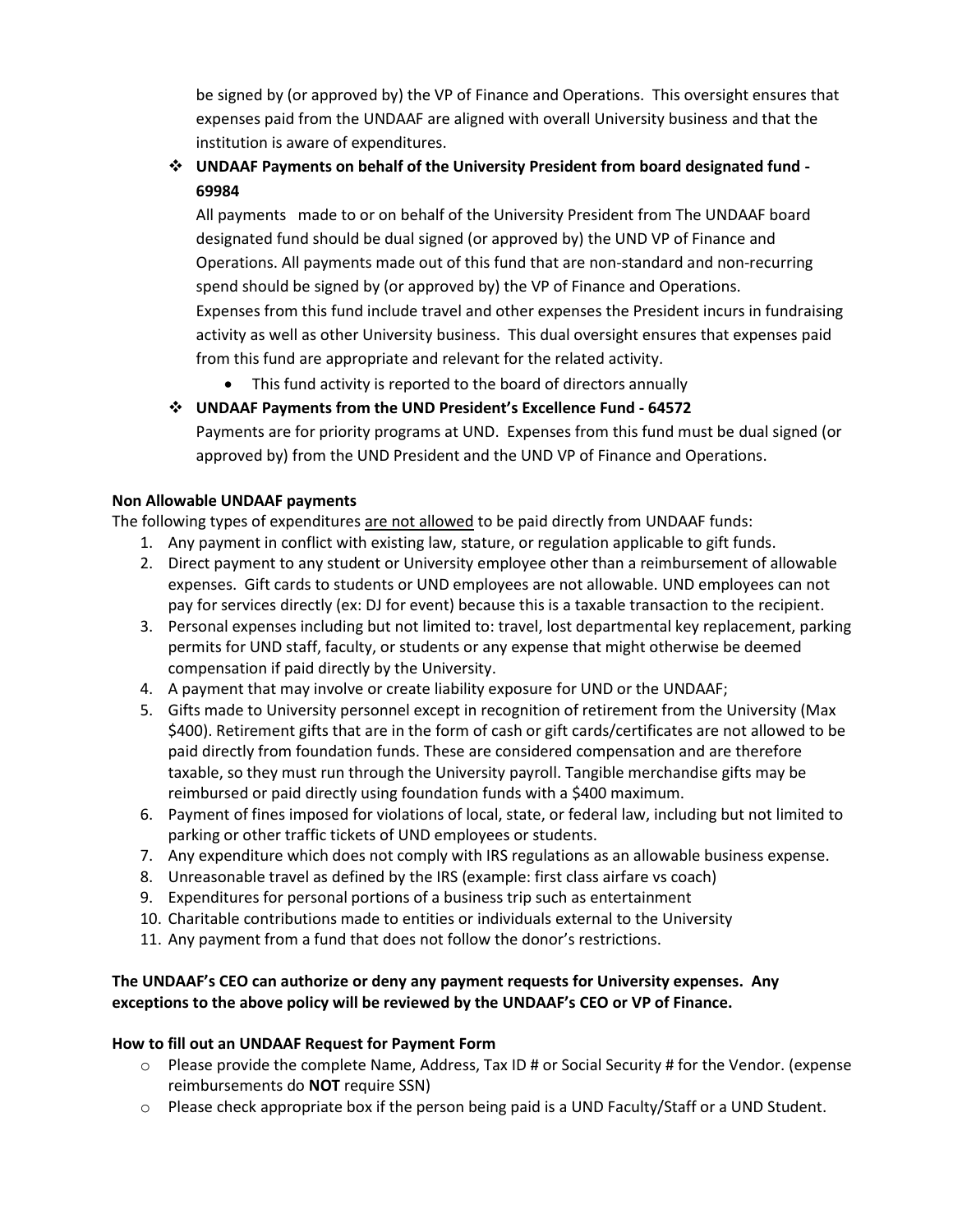be signed by (or approved by) the VP of Finance and Operations. This oversight ensures that expenses paid from the UNDAAF are aligned with overall University business and that the institution is aware of expenditures.

# ❖ **UNDAAF Payments on behalf of the University President from board designated fund - 69984**

All payments made to or on behalf of the University President from The UNDAAF board designated fund should be dual signed (or approved by) the UND VP of Finance and Operations. All payments made out of this fund that are non-standard and non-recurring spend should be signed by (or approved by) the VP of Finance and Operations. Expenses from this fund include travel and other expenses the President incurs in fundraising activity as well as other University business. This dual oversight ensures that expenses paid from this fund are appropriate and relevant for the related activity.

- This fund activity is reported to the board of directors annually
- ❖ **UNDAAF Payments from the UND President's Excellence Fund - 64572**

Payments are for priority programs at UND. Expenses from this fund must be dual signed (or approved by) from the UND President and the UND VP of Finance and Operations.

# **Non Allowable UNDAAF payments**

The following types of expenditures are not allowed to be paid directly from UNDAAF funds:

- 1. Any payment in conflict with existing law, stature, or regulation applicable to gift funds.
- 2. Direct payment to any student or University employee other than a reimbursement of allowable expenses. Gift cards to students or UND employees are not allowable. UND employees can not pay for services directly (ex: DJ for event) because this is a taxable transaction to the recipient.
- 3. Personal expenses including but not limited to: travel, lost departmental key replacement, parking permits for UND staff, faculty, or students or any expense that might otherwise be deemed compensation if paid directly by the University.
- 4. A payment that may involve or create liability exposure for UND or the UNDAAF;
- 5. Gifts made to University personnel except in recognition of retirement from the University (Max \$400). Retirement gifts that are in the form of cash or gift cards/certificates are not allowed to be paid directly from foundation funds. These are considered compensation and are therefore taxable, so they must run through the University payroll. Tangible merchandise gifts may be reimbursed or paid directly using foundation funds with a \$400 maximum.
- 6. Payment of fines imposed for violations of local, state, or federal law, including but not limited to parking or other traffic tickets of UND employees or students.
- 7. Any expenditure which does not comply with IRS regulations as an allowable business expense.
- 8. Unreasonable travel as defined by the IRS (example: first class airfare vs coach)
- 9. Expenditures for personal portions of a business trip such as entertainment
- 10. Charitable contributions made to entities or individuals external to the University
- 11. Any payment from a fund that does not follow the donor's restrictions.

# **The UNDAAF's CEO can authorize or deny any payment requests for University expenses. Any exceptions to the above policy will be reviewed by the UNDAAF's CEO or VP of Finance.**

#### **How to fill out an UNDAAF Request for Payment Form**

- o Please provide the complete Name, Address, Tax ID # or Social Security # for the Vendor. (expense reimbursements do **NOT** require SSN)
- $\circ$  Please check appropriate box if the person being paid is a UND Faculty/Staff or a UND Student.